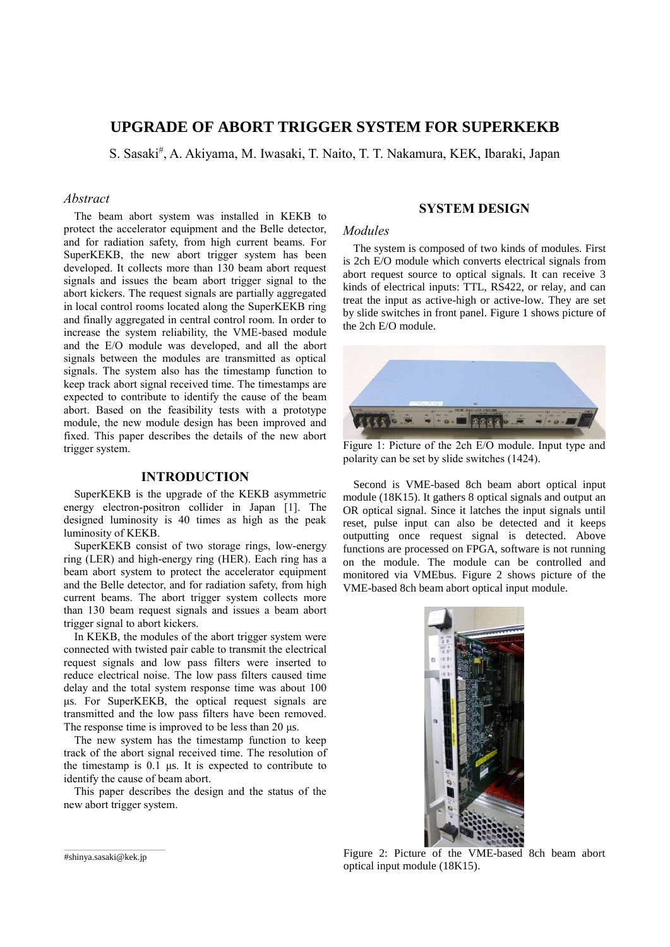# **UPGRADE OF ABORT TRIGGER SYSTEM FOR SUPERKEKB**

S. Sasaki<sup>#</sup>, A. Akiyama, M. Iwasaki, T. Naito, T. T. Nakamura, KEK, Ibaraki, Japan

# *Abstract*

The beam abort system was installed in KEKB to protect the accelerator equipment and the Belle detector, and for radiation safety, from high current beams. For SuperKEKB, the new abort trigger system has been developed. It collects more than 130 beam abort request signals and issues the beam abort trigger signal to the abort kickers. The request signals are partially aggregated in local control rooms located along the SuperKEKB ring and finally aggregated in central control room. In order to increase the system reliability, the VME-based module and the E/O module was developed, and all the abort signals between the modules are transmitted as optical signals. The system also has the timestamp function to keep track abort signal received time. The timestamps are expected to contribute to identify the cause of the beam abort. Based on the feasibility tests with a prototype module, the new module design has been improved and fixed. This paper describes the details of the new abort trigger system.

# **INTRODUCTION**

SuperKEKB is the upgrade of the KEKB asymmetric energy electron-positron collider in Japan [1]. The designed luminosity is 40 times as high as the peak luminosity of KEKB.

SuperKEKB consist of two storage rings, low-energy ring (LER) and high-energy ring (HER). Each ring has a beam abort system to protect the accelerator equipment and the Belle detector, and for radiation safety, from high current beams. The abort trigger system collects more than 130 beam request signals and issues a beam abort trigger signal to abort kickers.

In KEKB, the modules of the abort trigger system were connected with twisted pair cable to transmit the electrical request signals and low pass filters were inserted to reduce electrical noise. The low pass filters caused time delay and the total system response time was about 100 μs. For SuperKEKB, the optical request signals are transmitted and the low pass filters have been removed. The response time is improved to be less than 20 μs.

The new system has the timestamp function to keep track of the abort signal received time. The resolution of the timestamp is 0.1 μs. It is expected to contribute to identify the cause of beam abort.

This paper describes the design and the status of the new abort trigger system.

### **SYSTEM DESIGN**

#### *Modules*

The system is composed of two kinds of modules. First is 2ch E/O module which converts electrical signals from abort request source to optical signals. It can receive 3 kinds of electrical inputs: TTL, RS422, or relay, and can treat the input as active-high or active-low. They are set by slide switches in front panel. Figure 1 shows picture of the 2ch E/O module.



Figure 1: Picture of the 2ch E/O module. Input type and polarity can be set by slide switches (1424).

Second is VME-based 8ch beam abort optical input module (18K15). It gathers 8 optical signals and output an OR optical signal. Since it latches the input signals until reset, pulse input can also be detected and it keeps outputting once request signal is detected. Above functions are processed on FPGA, software is not running on the module. The module can be controlled and monitored via VMEbus. Figure 2 shows picture of the VME-based 8ch beam abort optical input module.



Figure 2: Picture of the VME-based 8ch beam abort optical input module (18K15).

\_\_\_\_\_\_\_\_\_\_\_\_\_\_\_\_\_\_\_\_\_\_\_\_\_\_\_\_\_\_\_\_\_\_\_\_\_\_\_\_\_\_\_\_ #shinya.sasaki@kek.jp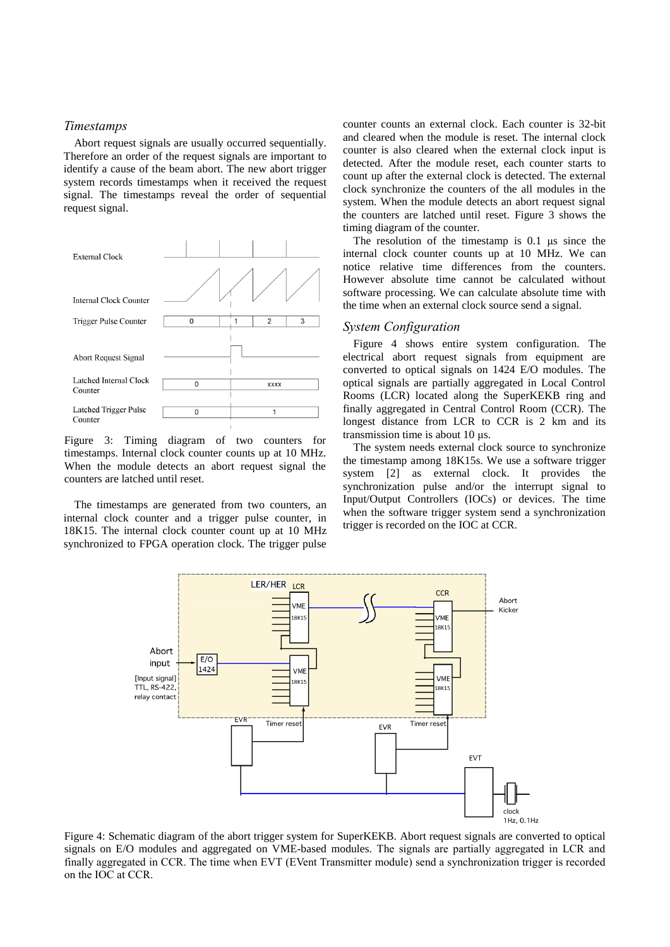#### *Timestamps*

Abort request signals are usually occurred sequentially. Therefore an order of the request signals are important to identify a cause of the beam abort. The new abort trigger system records timestamps when it received the request signal. The timestamps reveal the order of sequential request signal.



Figure 3: Timing diagram of two counters for timestamps. Internal clock counter counts up at 10 MHz. When the module detects an abort request signal the counters are latched until reset.

The timestamps are generated from two counters, an internal clock counter and a trigger pulse counter, in 18K15. The internal clock counter count up at 10 MHz synchronized to FPGA operation clock. The trigger pulse counter counts an external clock. Each counter is 32-bit and cleared when the module is reset. The internal clock counter is also cleared when the external clock input is detected. After the module reset, each counter starts to count up after the external clock is detected. The external clock synchronize the counters of the all modules in the system. When the module detects an abort request signal the counters are latched until reset. Figure 3 shows the timing diagram of the counter.

The resolution of the timestamp is 0.1 μs since the internal clock counter counts up at 10 MHz. We can notice relative time differences from the counters. However absolute time cannot be calculated without software processing. We can calculate absolute time with the time when an external clock source send a signal.

# *System Configuration*

Figure 4 shows entire system configuration. The electrical abort request signals from equipment are converted to optical signals on 1424 E/O modules. The optical signals are partially aggregated in Local Control Rooms (LCR) located along the SuperKEKB ring and finally aggregated in Central Control Room (CCR). The longest distance from LCR to CCR is 2 km and its transmission time is about 10 μs.

The system needs external clock source to synchronize the timestamp among 18K15s. We use a software trigger system [2] as external clock. It provides the synchronization pulse and/or the interrupt signal to Input/Output Controllers (IOCs) or devices. The time when the software trigger system send a synchronization trigger is recorded on the IOC at CCR.



Figure 4: Schematic diagram of the abort trigger system for SuperKEKB. Abort request signals are converted to optical signals on E/O modules and aggregated on VME-based modules. The signals are partially aggregated in LCR and finally aggregated in CCR. The time when EVT (EVent Transmitter module) send a synchronization trigger is recorded on the IOC at CCR.